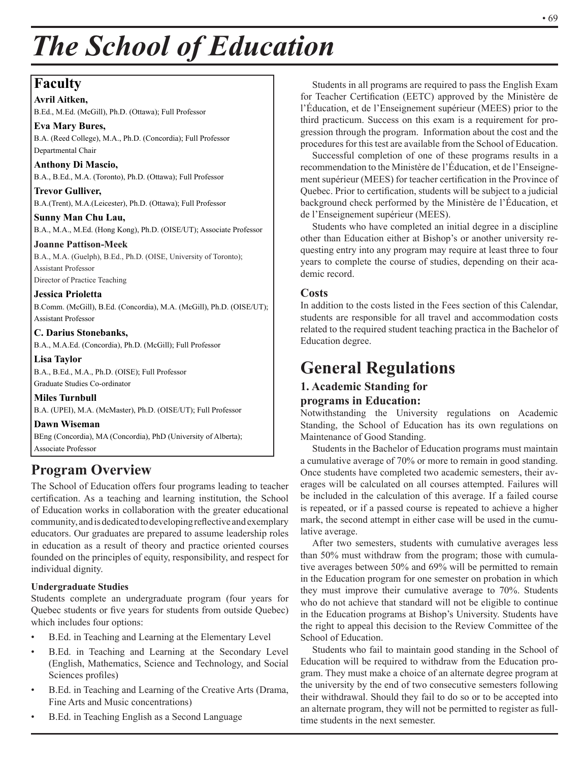# *The School of Education*

# **Faculty**

**Avril Aitken,** B.Ed., M.Ed. (McGill), Ph.D. (Ottawa); Full Professor

**Eva Mary Bures,** B.A. (Reed College), M.A., Ph.D. (Concordia); Full Professor Departmental Chair

**Anthony Di Mascio,** B.A., B.Ed., M.A. (Toronto), Ph.D. (Ottawa); Full Professor

**Trevor Gulliver,** B.A.(Trent), M.A.(Leicester), Ph.D. (Ottawa); Full Professor

**Sunny Man Chu Lau,** B.A., M.A., M.Ed. (Hong Kong), Ph.D. (OISE/UT); Associate Professor

**Joanne Pattison-Meek** B.A., M.A. (Guelph), B.Ed., Ph.D. (OISE, University of Toronto); Assistant Professor Director of Practice Teaching

### **Jessica Prioletta**

B.Comm. (McGill), B.Ed. (Concordia), M.A. (McGill), Ph.D. (OISE/UT); Assistant Professor

### **C. Darius Stonebanks,**

B.A., M.A.Ed. (Concordia), Ph.D. (McGill); Full Professor

#### **Lisa Taylor**

B.A., B.Ed., M.A., Ph.D. (OISE); Full Professor Graduate Studies Co-ordinator

**Miles Turnbull** B.A. (UPEI), M.A. (McMaster), Ph.D. (OISE/UT); Full Professor

**Dawn Wiseman**

BEng (Concordia), MA (Concordia), PhD (University of Alberta); Associate Professor

# **Program Overview**

The School of Education offers four programs leading to teacher certification. As a teaching and learning institution, the School of Education works in collaboration with the greater educational community, and is dedicated to developing reflective and exemplary educators. Our graduates are prepared to assume leadership roles in education as a result of theory and practice oriented courses founded on the principles of equity, responsibility, and respect for individual dignity.

### **Undergraduate Studies**

Students complete an undergraduate program (four years for Quebec students or five years for students from outside Quebec) which includes four options:

- B.Ed. in Teaching and Learning at the Elementary Level
- B.Ed. in Teaching and Learning at the Secondary Level (English, Mathematics, Science and Technology, and Social Sciences profiles)
- B.Ed. in Teaching and Learning of the Creative Arts (Drama, Fine Arts and Music concentrations)
- B.Ed. in Teaching English as a Second Language

Students in all programs are required to pass the English Exam for Teacher Certification (EETC) approved by the Ministère de l'Éducation, et de l'Enseignement supérieur (MEES) prior to the third practicum. Success on this exam is a requirement for progression through the program. Information about the cost and the procedures for this test are available from the School of Education.

Successful completion of one of these programs results in a recommendation to the Ministère de l'Éducation, et de l'Enseignement supérieur (MEES) for teacher certification in the Province of Quebec. Prior to certification, students will be subject to a judicial background check performed by the Ministère de l'Éducation, et de l'Enseignement supérieur (MEES).

Students who have completed an initial degree in a discipline other than Education either at Bishop's or another university requesting entry into any program may require at least three to four years to complete the course of studies, depending on their academic record.

# **Costs**

In addition to the costs listed in the Fees section of this Calendar, students are responsible for all travel and accommodation costs related to the required student teaching practica in the Bachelor of Education degree.

# **General Regulations**

# **1. Academic Standing for programs in Education:**

Notwithstanding the University regulations on Academic Standing, the School of Education has its own regulations on Maintenance of Good Standing.

Students in the Bachelor of Education programs must maintain a cumulative average of 70% or more to remain in good standing. Once students have completed two academic semesters, their averages will be calculated on all courses attempted. Failures will be included in the calculation of this average. If a failed course is repeated, or if a passed course is repeated to achieve a higher mark, the second attempt in either case will be used in the cumulative average.

After two semesters, students with cumulative averages less than 50% must withdraw from the program; those with cumulative averages between 50% and 69% will be permitted to remain in the Education program for one semester on probation in which they must improve their cumulative average to 70%. Students who do not achieve that standard will not be eligible to continue in the Education programs at Bishop's University. Students have the right to appeal this decision to the Review Committee of the School of Education.

Students who fail to maintain good standing in the School of Education will be required to withdraw from the Education program. They must make a choice of an alternate degree program at the university by the end of two consecutive semesters following their withdrawal. Should they fail to do so or to be accepted into an alternate program, they will not be permitted to register as fulltime students in the next semester.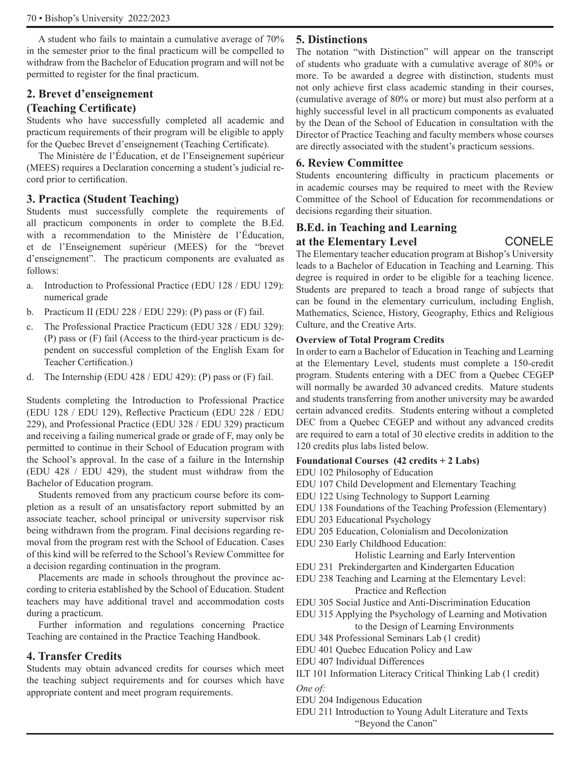A student who fails to maintain a cumulative average of 70% in the semester prior to the final practicum will be compelled to withdraw from the Bachelor of Education program and will not be permitted to register for the final practicum.

# **2. Brevet d'enseignement**

# **(Teaching Certificate)**

Students who have successfully completed all academic and practicum requirements of their program will be eligible to apply for the Quebec Brevet d'enseignement (Teaching Certificate).

The Ministère de l'Éducation, et de l'Enseignement supérieur (MEES) requires a Declaration concerning a student's judicial record prior to certification.

# **3. Practica (Student Teaching)**

Students must successfully complete the requirements of all practicum components in order to complete the B.Ed. with a recommendation to the Ministère de l'Éducation, et de l'Enseignement supérieur (MEES) for the "brevet d'enseignement". The practicum components are evaluated as follows:

- a. Introduction to Professional Practice (EDU 128 / EDU 129): numerical grade
- b. Practicum II (EDU 228 / EDU 229): (P) pass or (F) fail.
- c. The Professional Practice Practicum (EDU 328 / EDU 329): (P) pass or (F) fail (Access to the third-year practicum is dependent on successful completion of the English Exam for Teacher Certification.)
- d. The Internship (EDU 428 / EDU 429): (P) pass or (F) fail.

Students completing the Introduction to Professional Practice (EDU 128 / EDU 129), Reflective Practicum (EDU 228 / EDU 229), and Professional Practice (EDU 328 / EDU 329) practicum and receiving a failing numerical grade or grade of F, may only be permitted to continue in their School of Education program with the School's approval. In the case of a failure in the Internship (EDU 428 / EDU 429), the student must withdraw from the Bachelor of Education program.

Students removed from any practicum course before its completion as a result of an unsatisfactory report submitted by an associate teacher, school principal or university supervisor risk being withdrawn from the program. Final decisions regarding removal from the program rest with the School of Education. Cases of this kind will be referred to the School's Review Committee for a decision regarding continuation in the program.

Placements are made in schools throughout the province according to criteria established by the School of Education. Student teachers may have additional travel and accommodation costs during a practicum.

Further information and regulations concerning Practice Teaching are contained in the Practice Teaching Handbook.

# **4. Transfer Credits**

Students may obtain advanced credits for courses which meet the teaching subject requirements and for courses which have appropriate content and meet program requirements.

# **5. Distinctions**

The notation "with Distinction" will appear on the transcript of students who graduate with a cumulative average of 80% or more. To be awarded a degree with distinction, students must not only achieve first class academic standing in their courses, (cumulative average of 80% or more) but must also perform at a highly successful level in all practicum components as evaluated by the Dean of the School of Education in consultation with the Director of Practice Teaching and faculty members whose courses are directly associated with the student's practicum sessions.

## **6. Review Committee**

Students encountering difficulty in practicum placements or in academic courses may be required to meet with the Review Committee of the School of Education for recommendations or decisions regarding their situation.

# **B.Ed. in Teaching and Learning**  at the Elementary Level **CONELE**

The Elementary teacher education program at Bishop's University leads to a Bachelor of Education in Teaching and Learning. This degree is required in order to be eligible for a teaching licence. Students are prepared to teach a broad range of subjects that can be found in the elementary curriculum, including English, Mathematics, Science, History, Geography, Ethics and Religious Culture, and the Creative Arts.

#### **Overview of Total Program Credits**

In order to earn a Bachelor of Education in Teaching and Learning at the Elementary Level, students must complete a 150-credit program. Students entering with a DEC from a Quebec CEGEP will normally be awarded 30 advanced credits. Mature students and students transferring from another university may be awarded certain advanced credits. Students entering without a completed DEC from a Quebec CEGEP and without any advanced credits are required to earn a total of 30 elective credits in addition to the 120 credits plus labs listed below.

#### **Foundational Courses (42 credits + 2 Labs)**

EDU 102 Philosophy of Education

- EDU 107 Child Development and Elementary Teaching
- EDU 122 Using Technology to Support Learning
- EDU 138 Foundations of the Teaching Profession (Elementary)
- EDU 203 Educational Psychology
- EDU 205 Education, Colonialism and Decolonization
- EDU 230 Early Childhood Education:

Holistic Learning and Early Intervention

EDU 231 Prekindergarten and Kindergarten Education

EDU 238 Teaching and Learning at the Elementary Level: Practice and Reflection

EDU 305 Social Justice and Anti-Discrimination Education

EDU 315 Applying the Psychology of Learning and Motivation to the Design of Learning Environments

- EDU 348 Professional Seminars Lab (1 credit)
- EDU 401 Quebec Education Policy and Law
- EDU 407 Individual Differences
- ILT 101 Information Literacy Critical Thinking Lab (1 credit) *One of:*
- EDU 204 Indigenous Education
- EDU 211 Introduction to Young Adult Literature and Texts "Beyond the Canon"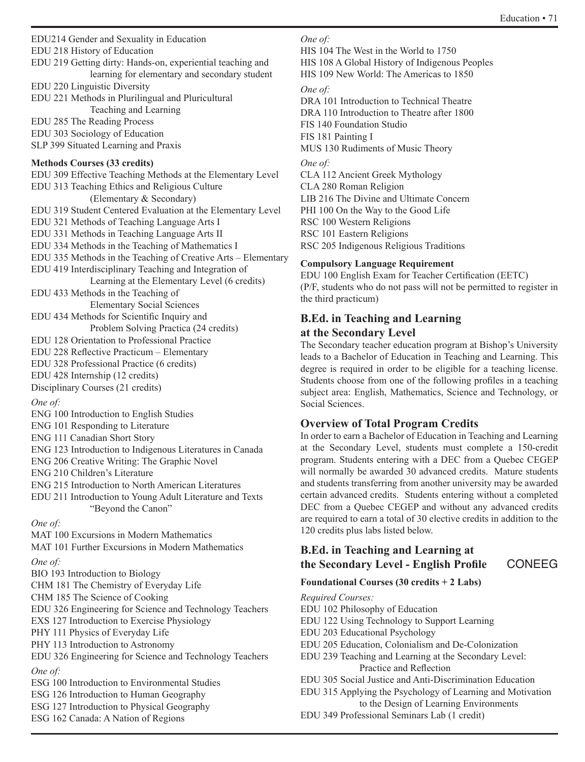EDU214 Gender and Sexuality in Education

EDU 218 History of Education

EDU 219 Getting dirty: Hands-on, experiential teaching and learning for elementary and secondary student

EDU 220 Linguistic Diversity

EDU 221 Methods in Plurilingual and Pluricultural Teaching and Learning

EDU 285 The Reading Process

EDU 303 Sociology of Education

SLP 399 Situated Learning and Praxis

# **Methods Courses (33 credits)**

EDU 309 Effective Teaching Methods at the Elementary Level EDU 313 Teaching Ethics and Religious Culture (Elementary & Secondary) EDU 319 Student Centered Evaluation at the Elementary Level EDU 321 Methods of Teaching Language Arts I EDU 331 Methods in Teaching Language Arts II EDU 334 Methods in the Teaching of Mathematics I EDU 335 Methods in the Teaching of Creative Arts – Elementary EDU 419 Interdisciplinary Teaching and Integration of Learning at the Elementary Level (6 credits) EDU 433 Methods in the Teaching of Elementary Social Sciences EDU 434 Methods for Scientific Inquiry and Problem Solving Practica (24 credits) EDU 128 Orientation to Professional Practice EDU 228 Reflective Practicum – Elementary EDU 328 Professional Practice (6 credits) EDU 428 Internship (12 credits) Disciplinary Courses (21 credits) *One of:* ENG 100 Introduction to English Studies ENG 101 Responding to Literature ENG 111 Canadian Short Story ENG 123 Introduction to Indigenous Literatures in Canada ENG 206 Creative Writing: The Graphic Novel ENG 210 Children's Literature ENG 215 Introduction to North American Literatures

EDU 211 Introduction to Young Adult Literature and Texts "Beyond the Canon"

# *One of:*

MAT 100 Excursions in Modern Mathematics MAT 101 Further Excursions in Modern Mathematics

*One of:*

BIO 193 Introduction to Biology

CHM 181 The Chemistry of Everyday Life

CHM 185 The Science of Cooking EDU 326 Engineering for Science and Technology Teachers

EXS 127 Introduction to Exercise Physiology

PHY 111 Physics of Everyday Life

PHY 113 Introduction to Astronomy

EDU 326 Engineering for Science and Technology Teachers

# *One of:*

ESG 100 Introduction to Environmental Studies

ESG 126 Introduction to Human Geography

- ESG 127 Introduction to Physical Geography
- ESG 162 Canada: A Nation of Regions

### *One of:*

HIS 104 The West in the World to 1750

HIS 108 A Global History of Indigenous Peoples

# HIS 109 New World: The Americas to 1850

# *One of:*

DRA 101 Introduction to Technical Theatre DRA 110 Introduction to Theatre after 1800 FIS 140 Foundation Studio FIS 181 Painting I MUS 130 Rudiments of Music Theory *One of:* CLA 112 Ancient Greek Mythology CLA 280 Roman Religion LIB 216 The Divine and Ultimate Concern PHI 100 On the Way to the Good Life RSC 100 Western Religions RSC 101 Eastern Religions RSC 205 Indigenous Religious Traditions

# **Compulsory Language Requirement**

EDU 100 English Exam for Teacher Certification (EETC) (P/F, students who do not pass will not be permitted to register in the third practicum)

# **B.Ed. in Teaching and Learning**

# **at the Secondary Level**

The Secondary teacher education program at Bishop's University leads to a Bachelor of Education in Teaching and Learning. This degree is required in order to be eligible for a teaching license. Students choose from one of the following profiles in a teaching subject area: English, Mathematics, Science and Technology, or Social Sciences.

# **Overview of Total Program Credits**

In order to earn a Bachelor of Education in Teaching and Learning at the Secondary Level, students must complete a 150-credit program. Students entering with a DEC from a Quebec CEGEP will normally be awarded 30 advanced credits. Mature students and students transferring from another university may be awarded certain advanced credits. Students entering without a completed DEC from a Quebec CEGEP and without any advanced credits are required to earn a total of 30 elective credits in addition to the 120 credits plus labs listed below.

# **B.Ed. in Teaching and Learning at the Secondary Level - English Profile** CONEEG

# **Foundational Courses (30 credits + 2 Labs)**

### *Required Courses:*

- EDU 102 Philosophy of Education
- EDU 122 Using Technology to Support Learning
- EDU 203 Educational Psychology
- EDU 205 Education, Colonialism and De-Colonization
- EDU 239 Teaching and Learning at the Secondary Level: Practice and Reflection
- EDU 305 Social Justice and Anti-Discrimination Education
- EDU 315 Applying the Psychology of Learning and Motivation to the Design of Learning Environments
- EDU 349 Professional Seminars Lab (1 credit)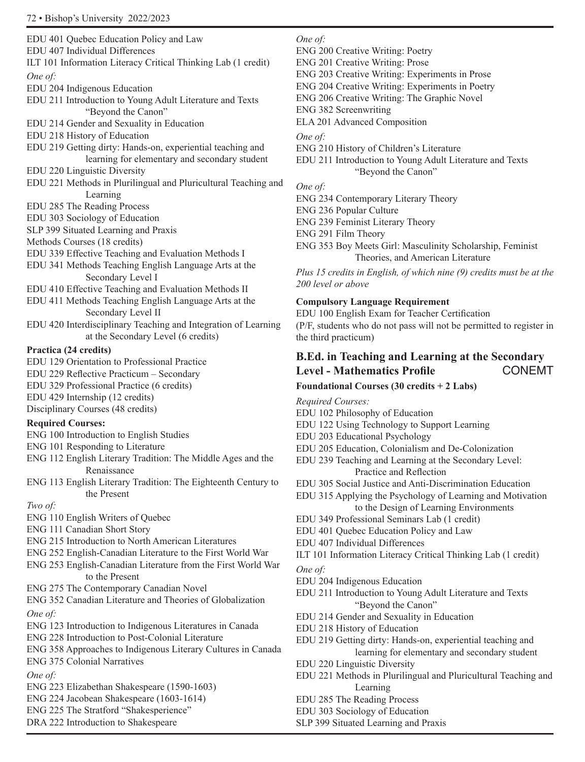EDU 401 Quebec Education Policy and Law EDU 407 Individual Differences ILT 101 Information Literacy Critical Thinking Lab (1 credit) *One of:* EDU 204 Indigenous Education EDU 211 Introduction to Young Adult Literature and Texts "Beyond the Canon" EDU 214 Gender and Sexuality in Education EDU 218 History of Education EDU 219 Getting dirty: Hands-on, experiential teaching and learning for elementary and secondary student EDU 220 Linguistic Diversity EDU 221 Methods in Plurilingual and Pluricultural Teaching and Learning EDU 285 The Reading Process EDU 303 Sociology of Education SLP 399 Situated Learning and Praxis Methods Courses (18 credits) EDU 339 Effective Teaching and Evaluation Methods I EDU 341 Methods Teaching English Language Arts at the Secondary Level I EDU 410 Effective Teaching and Evaluation Methods II EDU 411 Methods Teaching English Language Arts at the Secondary Level II EDU 420 Interdisciplinary Teaching and Integration of Learning

at the Secondary Level (6 credits)

# **Practica (24 credits)**

- EDU 129 Orientation to Professional Practice
- EDU 229 Reflective Practicum Secondary
- EDU 329 Professional Practice (6 credits)
- EDU 429 Internship (12 credits)
- Disciplinary Courses (48 credits)

# **Required Courses:**

- ENG 100 Introduction to English Studies
- ENG 101 Responding to Literature
- ENG 112 English Literary Tradition: The Middle Ages and the Renaissance
- ENG 113 English Literary Tradition: The Eighteenth Century to the Present

#### *Two of:*

- ENG 110 English Writers of Quebec
- ENG 111 Canadian Short Story
- ENG 215 Introduction to North American Literatures
- ENG 252 English-Canadian Literature to the First World War
- ENG 253 English-Canadian Literature from the First World War to the Present
- ENG 275 The Contemporary Canadian Novel
- ENG 352 Canadian Literature and Theories of Globalization *One of:*
- ENG 123 Introduction to Indigenous Literatures in Canada
- ENG 228 Introduction to Post-Colonial Literature
- ENG 358 Approaches to Indigenous Literary Cultures in Canada
- ENG 375 Colonial Narratives

# *One of:*

- ENG 223 Elizabethan Shakespeare (1590-1603)
- ENG 224 Jacobean Shakespeare (1603-1614)
- ENG 225 The Stratford "Shakesperience"
- 

# DRA 222 Introduction to Shakespeare

# *One of:*

- ENG 200 Creative Writing: Poetry
- ENG 201 Creative Writing: Prose
- ENG 203 Creative Writing: Experiments in Prose
- ENG 204 Creative Writing: Experiments in Poetry
- ENG 206 Creative Writing: The Graphic Novel
- ENG 382 Screenwriting

ELA 201 Advanced Composition

*One of:*

- ENG 210 History of Children's Literature
- EDU 211 Introduction to Young Adult Literature and Texts "Beyond the Canon"
- *One of:*
- ENG 234 Contemporary Literary Theory
- ENG 236 Popular Culture
- ENG 239 Feminist Literary Theory
- ENG 291 Film Theory
- ENG 353 Boy Meets Girl: Masculinity Scholarship, Feminist Theories, and American Literature

*Plus 15 credits in English, of which nine (9) credits must be at the 200 level or above*

# **Compulsory Language Requirement**

EDU 100 English Exam for Teacher Certification (P/F, students who do not pass will not be permitted to register in the third practicum)

# **B.Ed. in Teaching and Learning at the Secondary**  Level - Mathematics Profile **CONEMT**

### **Foundational Courses (30 credits + 2 Labs)**

*Required Courses:*

- EDU 102 Philosophy of Education
- EDU 122 Using Technology to Support Learning
- EDU 203 Educational Psychology
- EDU 205 Education, Colonialism and De-Colonization
- EDU 239 Teaching and Learning at the Secondary Level: Practice and Reflection
- EDU 305 Social Justice and Anti-Discrimination Education
- EDU 315 Applying the Psychology of Learning and Motivation to the Design of Learning Environments
- EDU 349 Professional Seminars Lab (1 credit)
- EDU 401 Quebec Education Policy and Law
- EDU 407 Individual Differences
- ILT 101 Information Literacy Critical Thinking Lab (1 credit)
- *One of:*
- EDU 204 Indigenous Education
- EDU 211 Introduction to Young Adult Literature and Texts "Beyond the Canon"
- EDU 214 Gender and Sexuality in Education
- EDU 218 History of Education
- EDU 219 Getting dirty: Hands-on, experiential teaching and learning for elementary and secondary student
- EDU 220 Linguistic Diversity
- EDU 221 Methods in Plurilingual and Pluricultural Teaching and Learning
- EDU 285 The Reading Process
- EDU 303 Sociology of Education
- SLP 399 Situated Learning and Praxis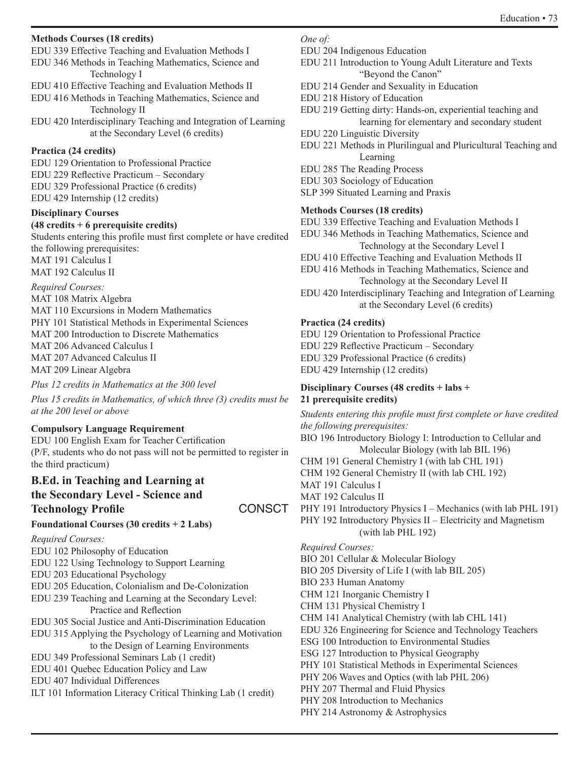#### **Methods Courses (18 credits)**

EDU 339 Effective Teaching and Evaluation Methods I

EDU 346 Methods in Teaching Mathematics, Science and Technology I

EDU 410 Effective Teaching and Evaluation Methods II

EDU 416 Methods in Teaching Mathematics, Science and Technology II

EDU 420 Interdisciplinary Teaching and Integration of Learning at the Secondary Level (6 credits)

### **Practica (24 credits)**

EDU 129 Orientation to Professional Practice EDU 229 Reflective Practicum – Secondary EDU 329 Professional Practice (6 credits) EDU 429 Internship (12 credits)

#### **Disciplinary Courses**

#### **(48 credits + 6 prerequisite credits)**

Students entering this profile must first complete or have credited the following prerequisites: MAT 191 Calculus I

MAT 192 Calculus II

*Required Courses:* MAT 108 Matrix Algebra MAT 110 Excursions in Modern Mathematics PHY 101 Statistical Methods in Experimental Sciences MAT 200 Introduction to Discrete Mathematics MAT 206 Advanced Calculus I MAT 207 Advanced Calculus II MAT 209 Linear Algebra

*Plus 12 credits in Mathematics at the 300 level* 

*Plus 15 credits in Mathematics, of which three (3) credits must be at the 200 level or above*

### **Compulsory Language Requirement**

EDU 100 English Exam for Teacher Certification (P/F, students who do not pass will not be permitted to register in the third practicum)

# **B.Ed. in Teaching and Learning at the Secondary Level - Science and Technology Profile** CONSCT

### **Foundational Courses (30 credits + 2 Labs)**

*Required Courses:* 

EDU 102 Philosophy of Education

- EDU 122 Using Technology to Support Learning
- EDU 203 Educational Psychology
- EDU 205 Education, Colonialism and De-Colonization

EDU 239 Teaching and Learning at the Secondary Level: Practice and Reflection

- EDU 305 Social Justice and Anti-Discrimination Education
- EDU 315 Applying the Psychology of Learning and Motivation to the Design of Learning Environments
- EDU 349 Professional Seminars Lab (1 credit)
- EDU 401 Quebec Education Policy and Law
- EDU 407 Individual Differences
- ILT 101 Information Literacy Critical Thinking Lab (1 credit)

#### *One of:*

- EDU 204 Indigenous Education
- EDU 211 Introduction to Young Adult Literature and Texts "Beyond the Canon"
- EDU 214 Gender and Sexuality in Education
- EDU 218 History of Education

EDU 219 Getting dirty: Hands-on, experiential teaching and learning for elementary and secondary student

EDU 220 Linguistic Diversity

EDU 221 Methods in Plurilingual and Pluricultural Teaching and Learning

- EDU 285 The Reading Process
- EDU 303 Sociology of Education
- SLP 399 Situated Learning and Praxis

### **Methods Courses (18 credits)**

EDU 339 Effective Teaching and Evaluation Methods I EDU 346 Methods in Teaching Mathematics, Science and Technology at the Secondary Level I EDU 410 Effective Teaching and Evaluation Methods II EDU 416 Methods in Teaching Mathematics, Science and Technology at the Secondary Level II EDU 420 Interdisciplinary Teaching and Integration of Learning at the Secondary Level (6 credits)

# **Practica (24 credits)**

EDU 129 Orientation to Professional Practice EDU 229 Reflective Practicum – Secondary EDU 329 Professional Practice (6 credits) EDU 429 Internship (12 credits)

### **Disciplinary Courses (48 credits + labs + 21 prerequisite credits)**

*Students entering this profile must first complete or have credited the following prerequisites:* BIO 196 Introductory Biology I: Introduction to Cellular and Molecular Biology (with lab BIL 196) CHM 191 General Chemistry I (with lab CHL 191) CHM 192 General Chemistry II (with lab CHL 192) MAT 191 Calculus I MAT 192 Calculus II PHY 191 Introductory Physics I – Mechanics (with lab PHL 191) PHY 192 Introductory Physics II – Electricity and Magnetism (with lab PHL 192) *Required Courses:* BIO 201 Cellular & Molecular Biology BIO 205 Diversity of Life I (with lab BIL 205) BIO 233 Human Anatomy CHM 121 Inorganic Chemistry I CHM 131 Physical Chemistry I CHM 141 Analytical Chemistry (with lab CHL 141) EDU 326 Engineering for Science and Technology Teachers ESG 100 Introduction to Environmental Studies ESG 127 Introduction to Physical Geography PHY 101 Statistical Methods in Experimental Sciences PHY 206 Waves and Optics (with lab PHL 206) PHY 207 Thermal and Fluid Physics PHY 208 Introduction to Mechanics

PHY 214 Astronomy & Astrophysics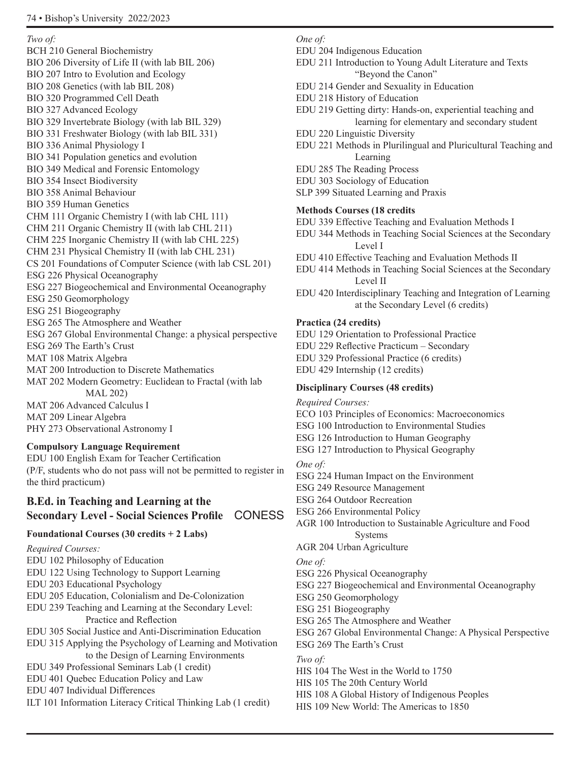*Two of:*

BCH 210 General Biochemistry BIO 206 Diversity of Life II (with lab BIL 206) BIO 207 Intro to Evolution and Ecology BIO 208 Genetics (with lab BIL 208) BIO 320 Programmed Cell Death BIO 327 Advanced Ecology BIO 329 Invertebrate Biology (with lab BIL 329) BIO 331 Freshwater Biology (with lab BIL 331) BIO 336 Animal Physiology I BIO 341 Population genetics and evolution BIO 349 Medical and Forensic Entomology BIO 354 Insect Biodiversity BIO 358 Animal Behaviour BIO 359 Human Genetics CHM 111 Organic Chemistry I (with lab CHL 111) CHM 211 Organic Chemistry II (with lab CHL 211) CHM 225 Inorganic Chemistry II (with lab CHL 225) CHM 231 Physical Chemistry II (with lab CHL 231) CS 201 Foundations of Computer Science (with lab CSL 201) ESG 226 Physical Oceanography ESG 227 Biogeochemical and Environmental Oceanography ESG 250 Geomorphology ESG 251 Biogeography ESG 265 The Atmosphere and Weather ESG 267 Global Environmental Change: a physical perspective ESG 269 The Earth's Crust MAT 108 Matrix Algebra MAT 200 Introduction to Discrete Mathematics MAT 202 Modern Geometry: Euclidean to Fractal (with lab MAL 202) MAT 206 Advanced Calculus I MAT 209 Linear Algebra PHY 273 Observational Astronomy I

### **Compulsory Language Requirement**

EDU 100 English Exam for Teacher Certification (P/F, students who do not pass will not be permitted to register in the third practicum)

# **B.Ed. in Teaching and Learning at the Secondary Level - Social Sciences Profile** CONESS

# **Foundational Courses (30 credits + 2 Labs)**

*Required Courses:* EDU 102 Philosophy of Education EDU 122 Using Technology to Support Learning EDU 203 Educational Psychology EDU 205 Education, Colonialism and De-Colonization EDU 239 Teaching and Learning at the Secondary Level: Practice and Reflection EDU 305 Social Justice and Anti-Discrimination Education EDU 315 Applying the Psychology of Learning and Motivation to the Design of Learning Environments EDU 349 Professional Seminars Lab (1 credit) EDU 401 Quebec Education Policy and Law EDU 407 Individual Differences ILT 101 Information Literacy Critical Thinking Lab (1 credit)

#### *One of:*

- EDU 204 Indigenous Education
- EDU 211 Introduction to Young Adult Literature and Texts "Beyond the Canon"
- EDU 214 Gender and Sexuality in Education
- EDU 218 History of Education
- EDU 219 Getting dirty: Hands-on, experiential teaching and learning for elementary and secondary student
- EDU 220 Linguistic Diversity
- EDU 221 Methods in Plurilingual and Pluricultural Teaching and Learning
- EDU 285 The Reading Process
- EDU 303 Sociology of Education
- SLP 399 Situated Learning and Praxis

#### **Methods Courses (18 credits**

- EDU 339 Effective Teaching and Evaluation Methods I
- EDU 344 Methods in Teaching Social Sciences at the Secondary Level I
- EDU 410 Effective Teaching and Evaluation Methods II
- EDU 414 Methods in Teaching Social Sciences at the Secondary Level II
- EDU 420 Interdisciplinary Teaching and Integration of Learning at the Secondary Level (6 credits)

### **Practica (24 credits)**

EDU 129 Orientation to Professional Practice

- EDU 229 Reflective Practicum Secondary
- EDU 329 Professional Practice (6 credits)
- EDU 429 Internship (12 credits)

### **Disciplinary Courses (48 credits)**

- *Required Courses:*
- ECO 103 Principles of Economics: Macroeconomics
- ESG 100 Introduction to Environmental Studies
- ESG 126 Introduction to Human Geography
- ESG 127 Introduction to Physical Geography
- *One of:*
- ESG 224 Human Impact on the Environment
- ESG 249 Resource Management
- ESG 264 Outdoor Recreation
- ESG 266 Environmental Policy
- AGR 100 Introduction to Sustainable Agriculture and Food Systems
- AGR 204 Urban Agriculture

*One of:*

- ESG 226 Physical Oceanography
- ESG 227 Biogeochemical and Environmental Oceanography
- ESG 250 Geomorphology
- ESG 251 Biogeography
- ESG 265 The Atmosphere and Weather
- ESG 267 Global Environmental Change: A Physical Perspective
- ESG 269 The Earth's Crust *Two of:*
- HIS 104 The West in the World to 1750
- HIS 105 The 20th Century World
- HIS 108 A Global History of Indigenous Peoples
- HIS 109 New World: The Americas to 1850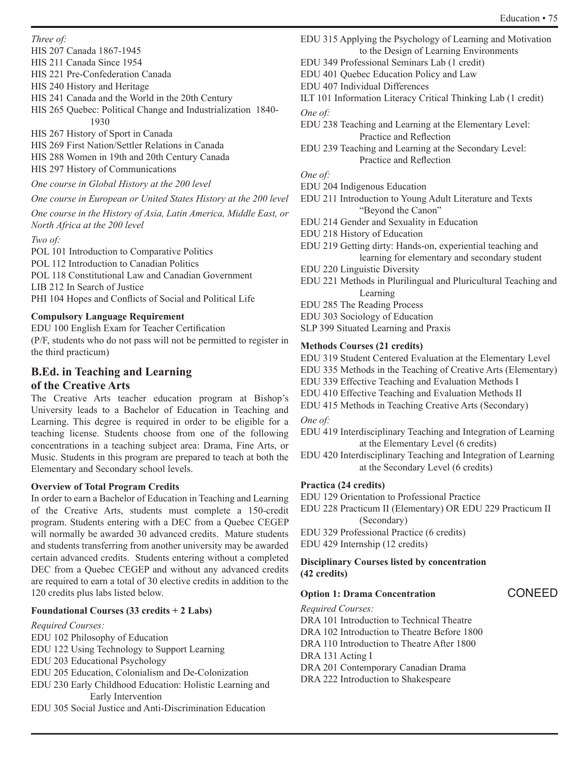*Three of:*

- HIS 207 Canada 1867-1945
- HIS 211 Canada Since 1954

HIS 221 Pre-Confederation Canada

HIS 240 History and Heritage

- HIS 241 Canada and the World in the 20th Century
- HIS 265 Quebec: Political Change and Industrialization 1840- 1930
- HIS 267 History of Sport in Canada HIS 269 First Nation/Settler Relations in Canada HIS 288 Women in 19th and 20th Century Canada HIS 297 History of Communications
- *One course in Global History at the 200 level*

# *One course in European or United States History at the 200 level*

*One course in the History of Asia, Latin America, Middle East, or North Africa at the 200 level*

*Two of:*

POL 101 Introduction to Comparative Politics POL 112 Introduction to Canadian Politics POL 118 Constitutional Law and Canadian Government LIB 212 In Search of Justice PHI 104 Hopes and Conflicts of Social and Political Life

# **Compulsory Language Requirement**

EDU 100 English Exam for Teacher Certification (P/F, students who do not pass will not be permitted to register in the third practicum)

# **B.Ed. in Teaching and Learning**

# **of the Creative Arts**

The Creative Arts teacher education program at Bishop's University leads to a Bachelor of Education in Teaching and Learning. This degree is required in order to be eligible for a teaching license. Students choose from one of the following concentrations in a teaching subject area: Drama, Fine Arts, or Music. Students in this program are prepared to teach at both the Elementary and Secondary school levels.

# **Overview of Total Program Credits**

In order to earn a Bachelor of Education in Teaching and Learning of the Creative Arts, students must complete a 150-credit program. Students entering with a DEC from a Quebec CEGEP will normally be awarded 30 advanced credits. Mature students and students transferring from another university may be awarded certain advanced credits. Students entering without a completed DEC from a Quebec CEGEP and without any advanced credits are required to earn a total of 30 elective credits in addition to the 120 credits plus labs listed below.

# **Foundational Courses (33 credits + 2 Labs)**

# *Required Courses:*

- EDU 102 Philosophy of Education
- EDU 122 Using Technology to Support Learning
- EDU 203 Educational Psychology
- EDU 205 Education, Colonialism and De-Colonization
- EDU 230 Early Childhood Education: Holistic Learning and Early Intervention
- EDU 305 Social Justice and Anti-Discrimination Education
- EDU 315 Applying the Psychology of Learning and Motivation to the Design of Learning Environments
- EDU 349 Professional Seminars Lab (1 credit)
- EDU 401 Quebec Education Policy and Law
- EDU 407 Individual Differences
- ILT 101 Information Literacy Critical Thinking Lab (1 credit)

*One of:*

- EDU 238 Teaching and Learning at the Elementary Level: Practice and Reflection
- EDU 239 Teaching and Learning at the Secondary Level: Practice and Reflection

# *One of:*

- EDU 204 Indigenous Education
- EDU 211 Introduction to Young Adult Literature and Texts "Beyond the Canon"
- EDU 214 Gender and Sexuality in Education
- EDU 218 History of Education
- EDU 219 Getting dirty: Hands-on, experiential teaching and learning for elementary and secondary student
- EDU 220 Linguistic Diversity
- EDU 221 Methods in Plurilingual and Pluricultural Teaching and Learning
- EDU 285 The Reading Process
- EDU 303 Sociology of Education
- SLP 399 Situated Learning and Praxis

# **Methods Courses (21 credits)**

EDU 319 Student Centered Evaluation at the Elementary Level EDU 335 Methods in the Teaching of Creative Arts (Elementary) EDU 339 Effective Teaching and Evaluation Methods I EDU 410 Effective Teaching and Evaluation Methods II EDU 415 Methods in Teaching Creative Arts (Secondary)

*One of:*

- EDU 419 Interdisciplinary Teaching and Integration of Learning at the Elementary Level (6 credits)
- EDU 420 Interdisciplinary Teaching and Integration of Learning at the Secondary Level (6 credits)

# **Practica (24 credits)**

EDU 129 Orientation to Professional Practice

- EDU 228 Practicum II (Elementary) OR EDU 229 Practicum II (Secondary)
- EDU 329 Professional Practice (6 credits)

EDU 429 Internship (12 credits)

### **Disciplinary Courses listed by concentration (42 credits)**

# **Option 1: Drama Concentration** CONEED

*Required Courses:*

DRA 101 Introduction to Technical Theatre

DRA 102 Introduction to Theatre Before 1800

DRA 110 Introduction to Theatre After 1800

DRA 131 Acting I

DRA 201 Contemporary Canadian Drama

DRA 222 Introduction to Shakespeare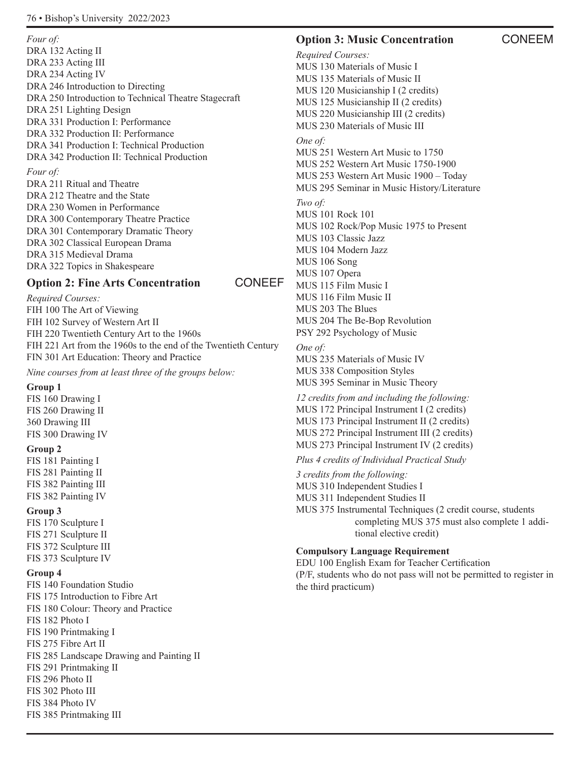*Four of:* DRA 132 Acting II DRA 233 Acting III DRA 234 Acting IV DRA 246 Introduction to Directing DRA 250 Introduction to Technical Theatre Stagecraft DRA 251 Lighting Design DRA 331 Production I: Performance DRA 332 Production II: Performance DRA 341 Production I: Technical Production DRA 342 Production II: Technical Production *Four of:*  DRA 211 Ritual and Theatre DRA 212 Theatre and the State DRA 230 Women in Performance DRA 300 Contemporary Theatre Practice DRA 301 Contemporary Dramatic Theory DRA 302 Classical European Drama DRA 315 Medieval Drama DRA 322 Topics in Shakespeare

# **Option 2: Fine Arts Concentration CONEEF**

*Required Courses:* FIH 100 The Art of Viewing FIH 102 Survey of Western Art II FIH 220 Twentieth Century Art to the 1960s FIH 221 Art from the 1960s to the end of the Twentieth Century FIN 301 Art Education: Theory and Practice

*Nine courses from at least three of the groups below:*

# **Group 1**

FIS 160 Drawing I FIS 260 Drawing II 360 Drawing III FIS 300 Drawing IV

#### **Group 2**

FIS 181 Painting I FIS 281 Painting II FIS 382 Painting III FIS 382 Painting IV

#### **Group 3**

FIS 170 Sculpture I FIS 271 Sculpture II FIS 372 Sculpture III FIS 373 Sculpture IV

# **Group 4**

FIS 140 Foundation Studio FIS 175 Introduction to Fibre Art FIS 180 Colour: Theory and Practice FIS 182 Photo I FIS 190 Printmaking I FIS 275 Fibre Art II FIS 285 Landscape Drawing and Painting II FIS 291 Printmaking II FIS 296 Photo II FIS 302 Photo III FIS 384 Photo IV FIS 385 Printmaking III

# **Option 3: Music Concentration CONEEM**

*Required Courses:* MUS 130 Materials of Music I MUS 135 Materials of Music II MUS 120 Musicianship I (2 credits) MUS 125 Musicianship II (2 credits) MUS 220 Musicianship III (2 credits) MUS 230 Materials of Music III *One of:* MUS 251 Western Art Music to 1750 MUS 252 Western Art Music 1750-1900 MUS 253 Western Art Music 1900 – Today MUS 295 Seminar in Music History/Literature *Two of:*  MUS 101 Rock 101 MUS 102 Rock/Pop Music 1975 to Present MUS 103 Classic Jazz MUS 104 Modern Jazz MUS 106 Song MUS 107 Opera MUS 115 Film Music I MUS 116 Film Music II MUS 203 The Blues MUS 204 The Be-Bop Revolution PSY 292 Psychology of Music *One of:* 

MUS 235 Materials of Music IV MUS 338 Composition Styles MUS 395 Seminar in Music Theory

*12 credits from and including the following:* MUS 172 Principal Instrument I (2 credits) MUS 173 Principal Instrument II (2 credits) MUS 272 Principal Instrument III (2 credits) MUS 273 Principal Instrument IV (2 credits)

*Plus 4 credits of Individual Practical Study*

*3 credits from the following:* MUS 310 Independent Studies I MUS 311 Independent Studies II MUS 375 Instrumental Techniques (2 credit course, students completing MUS 375 must also complete 1 additional elective credit)

# **Compulsory Language Requirement**

EDU 100 English Exam for Teacher Certification (P/F, students who do not pass will not be permitted to register in the third practicum)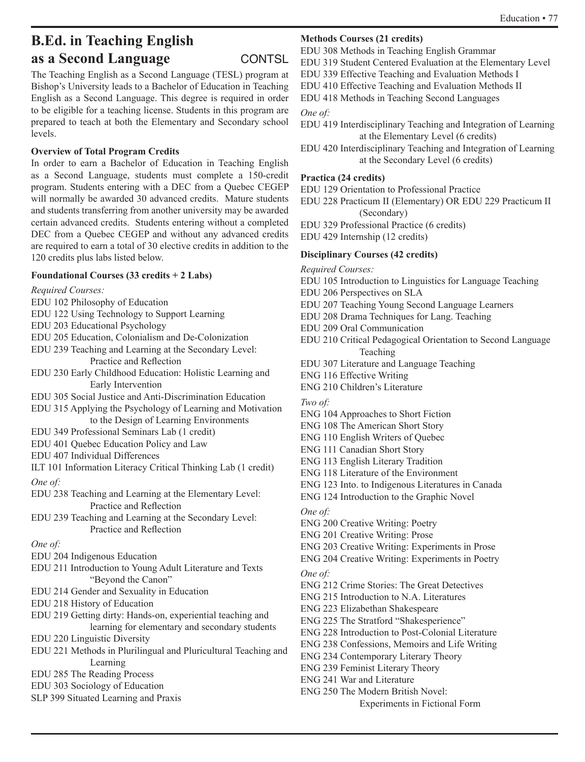# **B.Ed. in Teaching English as a Second Language CONTSL**

The Teaching English as a Second Language (TESL) program at Bishop's University leads to a Bachelor of Education in Teaching English as a Second Language. This degree is required in order to be eligible for a teaching license. Students in this program are prepared to teach at both the Elementary and Secondary school levels.

# **Overview of Total Program Credits**

In order to earn a Bachelor of Education in Teaching English as a Second Language, students must complete a 150-credit program. Students entering with a DEC from a Quebec CEGEP will normally be awarded 30 advanced credits. Mature students and students transferring from another university may be awarded certain advanced credits. Students entering without a completed DEC from a Quebec CEGEP and without any advanced credits are required to earn a total of 30 elective credits in addition to the 120 credits plus labs listed below.

# **Foundational Courses (33 credits + 2 Labs)**

*Required Courses:*

- EDU 102 Philosophy of Education
- EDU 122 Using Technology to Support Learning
- EDU 203 Educational Psychology
- EDU 205 Education, Colonialism and De-Colonization
- EDU 239 Teaching and Learning at the Secondary Level: Practice and Reflection
- EDU 230 Early Childhood Education: Holistic Learning and Early Intervention
- EDU 305 Social Justice and Anti-Discrimination Education
- EDU 315 Applying the Psychology of Learning and Motivation to the Design of Learning Environments
- EDU 349 Professional Seminars Lab (1 credit)
- EDU 401 Quebec Education Policy and Law
- EDU 407 Individual Differences

ILT 101 Information Literacy Critical Thinking Lab (1 credit) *One of:*

- EDU 238 Teaching and Learning at the Elementary Level: Practice and Reflection
- EDU 239 Teaching and Learning at the Secondary Level: Practice and Reflection

### *One of:*

- EDU 204 Indigenous Education
- EDU 211 Introduction to Young Adult Literature and Texts "Beyond the Canon"
- EDU 214 Gender and Sexuality in Education
- EDU 218 History of Education
- EDU 219 Getting dirty: Hands-on, experiential teaching and learning for elementary and secondary students
- EDU 220 Linguistic Diversity
- EDU 221 Methods in Plurilingual and Pluricultural Teaching and Learning

EDU 285 The Reading Process

- EDU 303 Sociology of Education
- SLP 399 Situated Learning and Praxis

# **Methods Courses (21 credits)**

EDU 308 Methods in Teaching English Grammar

- EDU 319 Student Centered Evaluation at the Elementary Level
- EDU 339 Effective Teaching and Evaluation Methods I
- EDU 410 Effective Teaching and Evaluation Methods II
- EDU 418 Methods in Teaching Second Languages

### *One of:*

- EDU 419 Interdisciplinary Teaching and Integration of Learning at the Elementary Level (6 credits)
- EDU 420 Interdisciplinary Teaching and Integration of Learning at the Secondary Level (6 credits)

### **Practica (24 credits)**

- EDU 129 Orientation to Professional Practice
- EDU 228 Practicum II (Elementary) OR EDU 229 Practicum II (Secondary)
- EDU 329 Professional Practice (6 credits)
- EDU 429 Internship (12 credits)

# **Disciplinary Courses (42 credits)**

*Required Courses:*

- EDU 105 Introduction to Linguistics for Language Teaching
- EDU 206 Perspectives on SLA
- EDU 207 Teaching Young Second Language Learners
- EDU 208 Drama Techniques for Lang. Teaching
- EDU 209 Oral Communication
- EDU 210 Critical Pedagogical Orientation to Second Language Teaching
- EDU 307 Literature and Language Teaching
- ENG 116 Effective Writing
- ENG 210 Children's Literature
- *Two of:*
- ENG 104 Approaches to Short Fiction
- ENG 108 The American Short Story
- ENG 110 English Writers of Quebec
- ENG 111 Canadian Short Story
- ENG 113 English Literary Tradition
- ENG 118 Literature of the Environment
- ENG 123 Into. to Indigenous Literatures in Canada
- ENG 124 Introduction to the Graphic Novel
- *One of:*
- ENG 200 Creative Writing: Poetry
- ENG 201 Creative Writing: Prose
- ENG 203 Creative Writing: Experiments in Prose
- ENG 204 Creative Writing: Experiments in Poetry
- *One of:*
- ENG 212 Crime Stories: The Great Detectives
- ENG 215 Introduction to N.A. Literatures
- ENG 223 Elizabethan Shakespeare
- ENG 225 The Stratford "Shakesperience"
- ENG 228 Introduction to Post-Colonial Literature
- ENG 238 Confessions, Memoirs and Life Writing
- ENG 234 Contemporary Literary Theory
- ENG 239 Feminist Literary Theory
- ENG 241 War and Literature
- ENG 250 The Modern British Novel:
	- Experiments in Fictional Form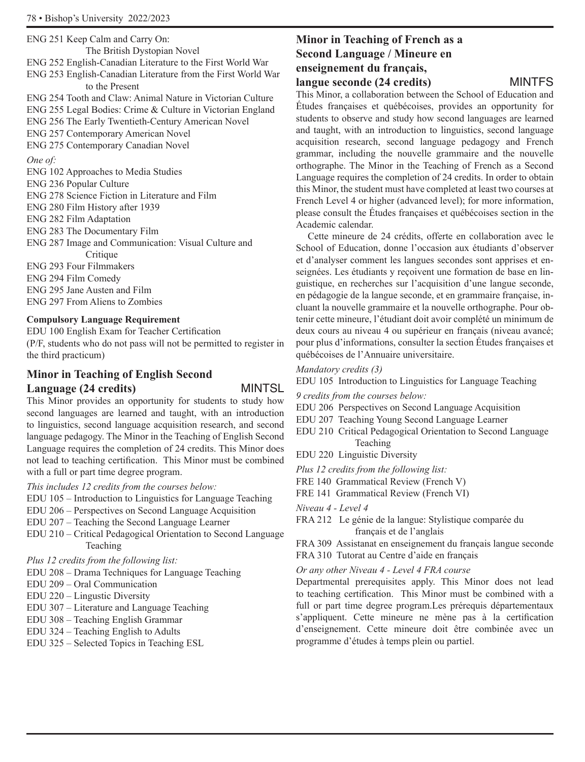ENG 251 Keep Calm and Carry On: The British Dystopian Novel ENG 252 English-Canadian Literature to the First World War ENG 253 English-Canadian Literature from the First World War to the Present ENG 254 Tooth and Claw: Animal Nature in Victorian Culture ENG 255 Legal Bodies: Crime & Culture in Victorian England ENG 256 The Early Twentieth-Century American Novel ENG 257 Contemporary American Novel ENG 275 Contemporary Canadian Novel *One of:* ENG 102 Approaches to Media Studies ENG 236 Popular Culture ENG 278 Science Fiction in Literature and Film ENG 280 Film History after 1939 ENG 282 Film Adaptation ENG 283 The Documentary Film ENG 287 Image and Communication: Visual Culture and Critique ENG 293 Four Filmmakers ENG 294 Film Comedy ENG 295 Jane Austen and Film ENG 297 From Aliens to Zombies

#### **Compulsory Language Requirement**

EDU 100 English Exam for Teacher Certification (P/F, students who do not pass will not be permitted to register in the third practicum)

# **Minor in Teaching of English Second Language (24 credits)** MINTSL

This Minor provides an opportunity for students to study how second languages are learned and taught, with an introduction to linguistics, second language acquisition research, and second language pedagogy. The Minor in the Teaching of English Second Language requires the completion of 24 credits. This Minor does not lead to teaching certification. This Minor must be combined with a full or part time degree program.

*This includes 12 credits from the courses below:*

- EDU 105 Introduction to Linguistics for Language Teaching
- EDU 206 Perspectives on Second Language Acquisition
- EDU 207 Teaching the Second Language Learner
- EDU 210 Critical Pedagogical Orientation to Second Language Teaching

*Plus 12 credits from the following list:*

- EDU 208 Drama Techniques for Language Teaching
- EDU 209 Oral Communication
- EDU 220 Lingustic Diversity
- EDU 307 Literature and Language Teaching
- EDU 308 Teaching English Grammar
- EDU 324 Teaching English to Adults
- EDU 325 Selected Topics in Teaching ESL

# **Minor in Teaching of French as a Second Language / Mineure en enseignement du français, langue seconde (24 credits)** MINTFS

This Minor, a collaboration between the School of Education and Études françaises et québécoises, provides an opportunity for students to observe and study how second languages are learned and taught, with an introduction to linguistics, second language acquisition research, second language pedagogy and French grammar, including the nouvelle grammaire and the nouvelle orthographe. The Minor in the Teaching of French as a Second Language requires the completion of 24 credits. In order to obtain this Minor, the student must have completed at least two courses at French Level 4 or higher (advanced level); for more information, please consult the Études françaises et québécoises section in the Academic calendar.

Cette mineure de 24 crédits, offerte en collaboration avec le School of Education, donne l'occasion aux étudiants d'observer et d'analyser comment les langues secondes sont apprises et enseignées. Les étudiants y reçoivent une formation de base en linguistique, en recherches sur l'acquisition d'une langue seconde, en pédagogie de la langue seconde, et en grammaire française, incluant la nouvelle grammaire et la nouvelle orthographe. Pour obtenir cette mineure, l'étudiant doit avoir complété un minimum de deux cours au niveau 4 ou supérieur en français (niveau avancé; pour plus d'informations, consulter la section Études françaises et québécoises de l'Annuaire universitaire.

#### *Mandatory credits (3)*

EDU 105 Introduction to Linguistics for Language Teaching

*9 credits from the courses below:*

- EDU 206 Perspectives on Second Language Acquisition
- EDU 207 Teaching Young Second Language Learner
- EDU 210 Critical Pedagogical Orientation to Second Language Teaching
- EDU 220 Linguistic Diversity
- *Plus 12 credits from the following list:*
- FRE 140 Grammatical Review (French V)
- FRE 141 Grammatical Review (French VI)

*Niveau 4 - Level 4*

FRA 212 Le génie de la langue: Stylistique comparée du français et de l'anglais

FRA 309 Assistanat en enseignement du français langue seconde FRA 310 Tutorat au Centre d'aide en français

*Or any other Niveau 4 - Level 4 FRA course*

Departmental prerequisites apply. This Minor does not lead to teaching certification. This Minor must be combined with a full or part time degree program.Les prérequis départementaux s'appliquent. Cette mineure ne mène pas à la certification d'enseignement. Cette mineure doit être combinée avec un programme d'études à temps plein ou partiel.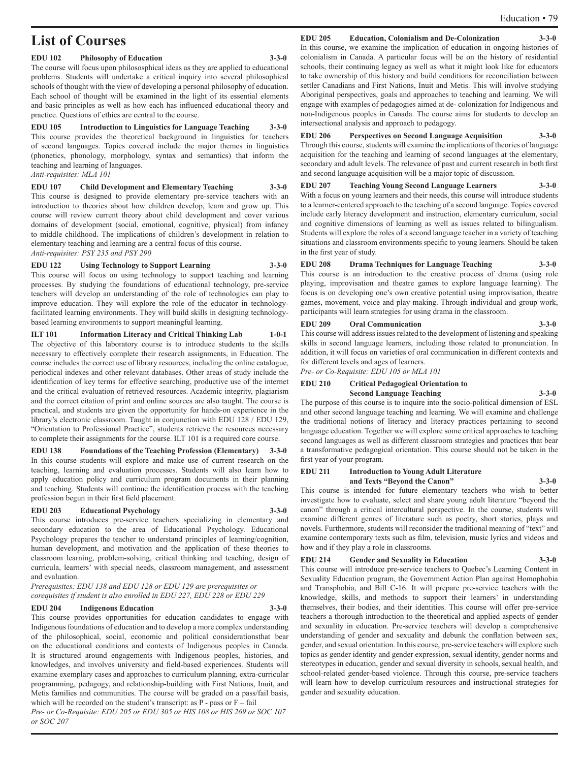# **List of Courses**

#### **EDU 102 Philosophy of Education 3-3-0**

The course will focus upon philososphical ideas as they are applied to educational problems. Students will undertake a critical inquiry into several philosophical schools of thought with the view of developing a personal philosophy of education. Each school of thought will be examined in the light of its essential elements and basic principles as well as how each has influenced educational theory and practice. Questions of ethics are central to the course.

**EDU 105 Introduction to Linguistics for Language Teaching 3-3-0** This course provides the theoretical background in linguistics for teachers of second languages. Topics covered include the major themes in linguistics (phonetics, phonology, morphology, syntax and semantics) that inform the teaching and learning of languages.

*Anti-requisites: MLA 101*

**EDU 107 Child Development and Elementary Teaching 3-3-0** This course is designed to provide elementary pre-service teachers with an introduction to theories about how children develop, learn and grow up. This course will review current theory about child development and cover various domains of development (social, emotional, cognitive, physical) from infancy to middle childhood. The implications of children's development in relation to elementary teaching and learning are a central focus of this course. *Anti-requisites: PSY 235 and PSY 290*

**EDU 122 Using Technology to Support Learning 3-3-0** This course will focus on using technology to support teaching and learning processes. By studying the foundations of educational technology, pre-service teachers will develop an understanding of the role of technologies can play to improve education. They will explore the role of the educator in technologyfacilitated learning environments. They will build skills in designing technologybased learning environments to support meaningful learning.

**ILT 101 Information Literacy and Critical Thinking Lab 1-0-1** The objective of this laboratory course is to introduce students to the skills necessary to effectively complete their research assignments, in Education. The course includes the correct use of library resources, including the online catalogue, periodical indexes and other relevant databases. Other areas of study include the identification of key terms for effective searching, productive use of the internet and the critical evaluation of retrieved resources. Academic integrity, plagiarism and the correct citation of print and online sources are also taught. The course is practical, and students are given the opportunity for hands-on experience in the library's electronic classroom. Taught in conjunction with EDU 128 / EDU 129, "Orientation to Professional Practice", students retrieve the resources necessary to complete their assignments for the course. ILT 101 is a required core course.

**EDU 138 Foundations of the Teaching Profession (Elementary) 3-3-0** In this course students will explore and make use of current research on the teaching, learning and evaluation processes. Students will also learn how to apply education policy and curriculum program documents in their planning and teaching. Students will continue the identification process with the teaching profession begun in their first field placement.

#### **EDU 203 Educational Psychology 3-3-0**

This course introduces pre-service teachers specializing in elementary and secondary education to the area of Educational Psychology. Educational Psychology prepares the teacher to understand principles of learning/cognition, human development, and motivation and the application of these theories to classroom learning, problem-solving, critical thinking and teaching, design of curricula, learners' with special needs, classroom management, and assessment and evaluation.

*Prerequisites: EDU 138 and EDU 128 or EDU 129 are prerequisites or corequisites if student is also enrolled in EDU 227, EDU 228 or EDU 229*

#### **EDU 204 Indigenous Education 3-3-0**

This course provides opportunities for education candidates to engage with Indigenous foundations of education and to develop a more complex understanding of the philosophical, social, economic and political considerationsthat bear on the educational conditions and contexts of Indigenous peoples in Canada. It is structured around engagements with Indigenous peoples, histories, and knowledges, and involves university and field-based experiences. Students will examine exemplary cases and approaches to curriculum planning, extra-curricular programming, pedagogy, and relationship-building with First Nations, Inuit, and Metis families and communities. The course will be graded on a pass/fail basis, which will be recorded on the student's transcript: as  $P$  - pass or  $F - f$ ail *Pre- or Co-Requisite: EDU 205 or EDU 305 or HIS 108 or HIS 269 or SOC 107 or SOC 207* 

#### **EDU 205 Education, Colonialism and De-Colonization 3-3-0**

In this course, we examine the implication of education in ongoing histories of colonialism in Canada. A particular focus will be on the history of residential schools, their continuing legacy as well as what it might look like for educators to take ownership of this history and build conditions for reconciliation between settler Canadians and First Nations, Inuit and Metis. This will involve studying Aboriginal perspectives, goals and approaches to teaching and learning. We will engage with examples of pedagogies aimed at de- colonization for Indigenous and non-Indigenous peoples in Canada. The course aims for students to develop an intersectional analysis and approach to pedagogy.

#### **EDU 206 Perspectives on Second Language Acquisition 3-3-0**

Through this course, students will examine the implications of theories of language acquisition for the teaching and learning of second languages at the elementary, secondary and adult levels. The relevance of past and current research in both first and second language acquisition will be a major topic of discussion.

**EDU 207 Teaching Young Second Language Learners 3-3-0** With a focus on young learners and their needs, this course will introduce students to a learner-centered approach to the teaching of a second language. Topics covered include early literacy development and instruction, elementary curriculum, social and cognitive dimensions of learning as well as issues related to bilingualism. Students will explore the roles of a second language teacher in a variety of teaching situations and classroom environments specific to young learners. Should be taken in the first year of study.

**EDU 208 Drama Techniques for Language Teaching 3-3-0** This course is an introduction to the creative process of drama (using role playing, improvisation and theatre games to explore language learning). The focus is on developing one's own creative potential using improvisation, theatre games, movement, voice and play making. Through individual and group work, participants will learn strategies for using drama in the classroom.

#### **EDU 209 Oral Communication 3-3-0**

This course will address issues related to the development of listening and speaking skills in second language learners, including those related to pronunciation. In addition, it will focus on varieties of oral communication in different contexts and for different levels and ages of learners.

*Pre- or Co-Requisite: EDU 105 or MLA 101* 

#### **EDU 210 Critical Pedagogical Orientation to Second Language Teaching 3-3-0**

The purpose of this course is to inquire into the socio-political dimension of ESL and other second language teaching and learning. We will examine and challenge the traditional notions of literacy and literacy practices pertaining to second language education. Together we will explore some critical approaches to teaching second languages as well as different classroom strategies and practices that bear a transformative pedagogical orientation. This course should not be taken in the first year of your program.

#### **EDU 211 Introduction to Young Adult Literature and Texts "Beyond the Canon" 3-3-0**

This course is intended for future elementary teachers who wish to better investigate how to evaluate, select and share young adult literature "beyond the canon" through a critical intercultural perspective. In the course, students will examine different genres of literature such as poetry, short stories, plays and novels. Furthermore, students will reconsider the traditional meaning of "text" and examine contemporary texts such as film, television, music lyrics and videos and how and if they play a role in classrooms.

#### **EDU 214 Gender and Sexuality in Education 3-3-0**

This course will introduce pre-service teachers to Quebec's Learning Content in Sexuality Education program, the Government Action Plan against Homophobia and Transphobia, and Bill C-16. It will prepare pre-service teachers with the knowledge, skills, and methods to support their learners' in understanding themselves, their bodies, and their identities. This course will offer pre-service teachers a thorough introduction to the theoretical and applied aspects of gender and sexuality in education. Pre-service teachers will develop a comprehensive understanding of gender and sexuality and debunk the conflation between sex, gender, and sexual orientation. In this course, pre-service teachers will explore such topics as gender identity and gender expression, sexual identity, gender norms and stereotypes in education, gender and sexual diversity in schools, sexual health, and school-related gender-based violence. Through this course, pre-service teachers will learn how to develop curriculum resources and instructional strategies for gender and sexuality education.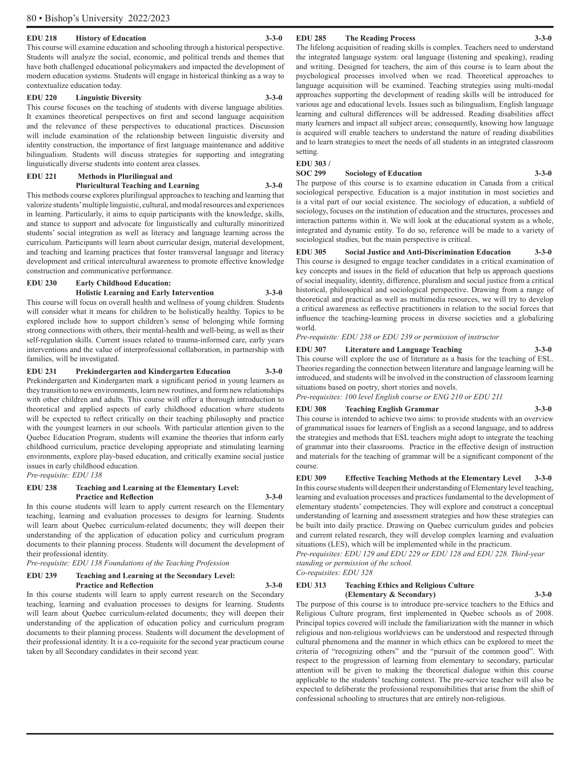#### **EDU 218 History of Education 3-3-0**

This course will examine education and schooling through a historical perspective. Students will analyze the social, economic, and political trends and themes that have both challenged educational policymakers and impacted the development of modern education systems. Students will engage in historical thinking as a way to contextualize education today.

#### **EDU 220 Linguistic Diversity 3-3-0**

This course focuses on the teaching of students with diverse language abilities. It examines theoretical perspectives on first and second language acquisition and the relevance of these perspectives to educational practices. Discussion will include examination of the relationship between linguistic diversity and identity construction, the importance of first language maintenance and additive bilingualism. Students will discuss strategies for supporting and integrating linguistically diverse students into content area classes.

#### **EDU 221 Methods in Plurilingual and**

#### **Pluricultural Teaching and Learning 3-3-0**

This methods course explores plurilingual approaches to teaching and learning that valorize students' multiple linguistic, cultural, and modal resources and experiences in learning. Particularly, it aims to equip participants with the knowledge, skills, and stance to support and advocate for linguistically and culturally minoritized students' social integration as well as literacy and language learning across the curriculum. Participants will learn about curricular design, material development, and teaching and learning practices that foster transversal language and literacy development and critical intercultural awareness to promote effective knowledge construction and communicative performance.

#### **EDU 230 Early Childhood Education: Holistic Learning and Early Intervention 3-3-0**

This course will focus on overall health and wellness of young children. Students will consider what it means for children to be holistically healthy. Topics to be explored include how to support children's sense of belonging while forming strong connections with others, their mental-health and well-being, as well as their self-regulation skills. Current issues related to trauma-informed care, early years interventions and the value of interprofessional collaboration, in partnership with families, will be investigated.

#### **EDU 231 Prekindergarten and Kindergarten Education 3-3-0**

Prekindergarten and Kindergarten mark a significant period in young learners as they transition to new environments, learn new routines, and form new relationships with other children and adults. This course will offer a thorough introduction to theoretical and applied aspects of early childhood education where students will be expected to reflect critically on their teaching philosophy and practice with the youngest learners in our schools. With particular attention given to the Quebec Education Program, students will examine the theories that inform early childhood curriculum, practice developing appropriate and stimulating learning environments, explore play-based education, and critically examine social justice issues in early childhood education.

*Pre-requisite: EDU 138*

#### **EDU 238 Teaching and Learning at the Elementary Level: Practice and Reflection 3-3-0**

In this course students will learn to apply current research on the Elementary teaching, learning and evaluation processes to designs for learning. Students will learn about Quebec curriculum-related documents; they will deepen their understanding of the application of education policy and curriculum program documents to their planning process. Students will document the development of their professional identity.

*Pre-requisite: EDU 138 Foundations of the Teaching Profession* 

#### **EDU 239 Teaching and Learning at the Secondary Level: Practice and Reflection 3-3-0**

In this course students will learn to apply current research on the Secondary teaching, learning and evaluation processes to designs for learning. Students will learn about Quebec curriculum-related documents; they will deepen their understanding of the application of education policy and curriculum program documents to their planning process. Students will document the development of their professional identity. It is a co-requisite for the second year practicum course taken by all Secondary candidates in their second year.

#### **EDU 285 The Reading Process 3-3-0**

The lifelong acquisition of reading skills is complex. Teachers need to understand the integrated language system: oral language (listening and speaking), reading and writing. Designed for teachers, the aim of this course is to learn about the psychological processes involved when we read. Theoretical approaches to language acquisition will be examined. Teaching strategies using multi-modal approaches supporting the development of reading skills will be introduced for various age and educational levels. Issues such as bilingualism, English language learning and cultural differences will be addressed. Reading disabilities affect many learners and impact all subject areas; consequently, knowing how language is acquired will enable teachers to understand the nature of reading disabilities and to learn strategies to meet the needs of all students in an integrated classroom setting.

**EDU 303 /** 

#### **Sociology of Education** 3-3-0

The purpose of this course is to examine education in Canada from a critical sociological perspective. Education is a major institution in most societies and is a vital part of our social existence. The sociology of education, a subfield of sociology, focuses on the institution of education and the structures, processes and interaction patterns within it. We will look at the educational system as a whole, integrated and dynamic entity. To do so, reference will be made to a variety of sociological studies, but the main perspective is critical.

**EDU 305 Social Justice and Anti-Discrimination Education 3-3-0** This course is designed to engage teacher candidates in a critical examination of key concepts and issues in the field of education that help us approach questions of social inequality, identity, difference, pluralism and social justice from a critical historical, philosophical and sociological perspective. Drawing from a range of theoretical and practical as well as multimedia resources, we will try to develop a critical awareness as reflective practitioners in relation to the social forces that influence the teaching-learning process in diverse societies and a globalizing world.

*Pre-requisite: EDU 238 or EDU 239 or permission of instructor*

**EDU 307 Literature and Language Teaching 3-3-0** This course will explore the use of literature as a basis for the teaching of ESL. Theories regarding the connection between literature and language learning will be introduced, and students will be involved in the construction of classroom learning situations based on poetry, short stories and novels.

*Pre-requisites: 100 level English course or ENG 210 or EDU 211*

#### **EDU 308 Teaching English Grammar 3-3-0**

This course is intended to achieve two aims: to provide students with an overview of grammatical issues for learners of English as a second language, and to address the strategies and methods that ESL teachers might adopt to integrate the teaching of grammar into their classrooms. Practice in the effective design of instruction and materials for the teaching of grammar will be a significant component of the course.

**EDU 309 Effective Teaching Methods at the Elementary Level 3-3-0**  In this course students will deepen their understanding of Elementary level teaching, learning and evaluation processes and practices fundamental to the development of elementary students' competencies. They will explore and construct a conceptual understanding of learning and assessment strategies and how these strategies can be built into daily practice. Drawing on Quebec curriculum guides and policies and current related research, they will develop complex learning and evaluation situations (LES), which will be implemented while in the practicum.

*Pre-requisites: EDU 129 and EDU 229 or EDU 128 and EDU 228. Third-year standing or permission of the school.*

*Co-requisites: EDU 328*

#### **EDU 313 Teaching Ethics and Religious Culture (Elementary & Secondary) 3-3-0**

The purpose of this course is to introduce pre-service teachers to the Ethics and Religious Culture program, first implemented in Quebec schools as of 2008. Principal topics covered will include the familiarization with the manner in which religious and non-religious worldviews can be understood and respected through cultural phenomena and the manner in which ethics can be explored to meet the criteria of "recognizing others" and the "pursuit of the common good". With respect to the progression of learning from elementary to secondary, particular attention will be given to making the theoretical dialogue within this course applicable to the students' teaching context. The pre-service teacher will also be expected to deliberate the professional responsibilities that arise from the shift of confessional schooling to structures that are entirely non-religious.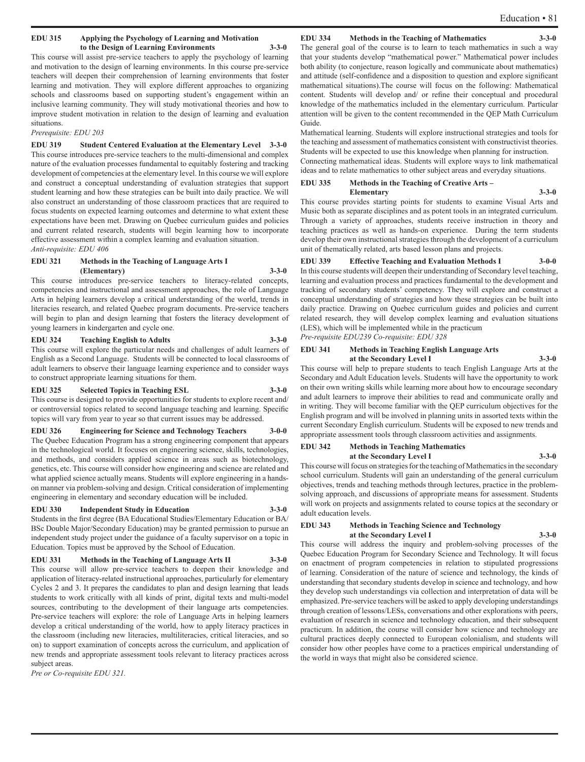#### **EDU 315 Applying the Psychology of Learning and Motivation to the Design of Learning Environments 3-3-0**

This course will assist pre-service teachers to apply the psychology of learning and motivation to the design of learning environments. In this course pre-service teachers will deepen their comprehension of learning environments that foster learning and motivation. They will explore different approaches to organizing schools and classrooms based on supporting student's engagement within an inclusive learning community. They will study motivational theories and how to improve student motivation in relation to the design of learning and evaluation situations.

*Prerequisite: EDU 203*

**EDU 319 Student Centered Evaluation at the Elementary Level 3-3-0** This course introduces pre-service teachers to the multi-dimensional and complex nature of the evaluation processes fundamental to equitably fostering and tracking development of competencies at the elementary level. In this course we will explore and construct a conceptual understanding of evaluation strategies that support student learning and how these strategies can be built into daily practice. We will also construct an understanding of those classroom practices that are required to focus students on expected learning outcomes and determine to what extent these expectations have been met. Drawing on Quebec curriculum guides and policies and current related research, students will begin learning how to incorporate effective assessment within a complex learning and evaluation situation. *Anti-requisite: EDU 406*

#### **EDU 321 Methods in the Teaching of Language Arts I (Elementary) 3-3-0**

This course introduces pre-service teachers to literacy-related concepts, competencies and instructional and assessment approaches, the role of Language Arts in helping learners develop a critical understanding of the world, trends in literacies research, and related Quebec program documents. Pre-service teachers will begin to plan and design learning that fosters the literacy development of young learners in kindergarten and cycle one.

#### **EDU 324 Teaching English to Adults 3-3-0**

This course will explore the particular needs and challenges of adult learners of English as a Second Language. Students will be connected to local classrooms of adult learners to observe their language learning experience and to consider ways to construct appropriate learning situations for them.

#### **EDU 325 Selected Topics in Teaching ESL 3-3-0**

This course is designed to provide opportunities for students to explore recent and/ or controversial topics related to second language teaching and learning. Specific topics will vary from year to year so that current issues may be addressed.

**EDU 326 Engineering for Science and Technology Teachers 3-0-0** The Quebec Education Program has a strong engineering component that appears in the technological world. It focuses on engineering science, skills, technologies, and methods, and considers applied science in areas such as biotechnology, genetics, etc. This course will consider how engineering and science are related and what applied science actually means. Students will explore engineering in a handson manner via problem-solving and design. Critical consideration of implementing engineering in elementary and secondary education will be included.

#### **EDU 330 Independent Study in Education 3-3-0**

Students in the first degree (BA Educational Studies/Elementary Education or BA/ BSc Double Major/Secondary Education) may be granted permission to pursue an independent study project under the guidance of a faculty supervisor on a topic in Education. Topics must be approved by the School of Education.

**EDU 331 Methods in the Teaching of Language Arts II 3-3-0** This course will allow pre-service teachers to deepen their knowledge and application of literacy-related instructional approaches, particularly for elementary Cycles 2 and 3. It prepares the candidates to plan and design learning that leads students to work critically with all kinds of print, digital texts and multi-model sources, contributing to the development of their language arts competencies. Pre-service teachers will explore: the role of Language Arts in helping learners develop a critical understanding of the world, how to apply literacy practices in the classroom (including new literacies, multiliteracies, critical literacies, and so on) to support examination of concepts across the curriculum, and application of new trends and appropriate assessment tools relevant to literacy practices across subject areas.

*Pre or Co-requisite EDU 321.*

#### **EDU 334** Methods in the Teaching of Mathematics

The general goal of the course is to learn to teach mathematics in such a way that your students develop "mathematical power." Mathematical power includes both ability (to conjecture, reason logically and communicate about mathematics) and attitude (self-confidence and a disposition to question and explore significant mathematical situations).The course will focus on the following: Mathematical content. Students will develop and/ or refine their conceptual and procedural knowledge of the mathematics included in the elementary curriculum. Particular attention will be given to the content recommended in the QEP Math Curriculum Guide.

Mathematical learning. Students will explore instructional strategies and tools for the teaching and assessment of mathematics consistent with constructivist theories. Students will be expected to use this knowledge when planning for instruction. Connecting mathematical ideas. Students will explore ways to link mathematical ideas and to relate mathematics to other subject areas and everyday situations.

# **EDU 335 Methods in the Teaching of Creative Arts –**

**Elementary 3-3-0** This course provides starting points for students to examine Visual Arts and Music both as separate disciplines and as potent tools in an integrated curriculum. Through a variety of approaches, students receive instruction in theory and teaching practices as well as hands-on experience. During the term students develop their own instructional strategies through the development of a curriculum unit of thematically related, arts based lesson plans and projects.

**EDU 339 Effective Teaching and Evaluation Methods I 3-0-0** In this course students will deepen their understanding of Secondary level teaching, learning and evaluation process and practices fundamental to the development and tracking of secondary students' competency. They will explore and construct a conceptual understanding of strategies and how these strategies can be built into daily practice. Drawing on Quebec curriculum guides and policies and current related research, they will develop complex learning and evaluation situations (LES), which will be implemented while in the practicum

*Pre-requisite EDU239 Co-requisite: EDU 328*

#### **EDU 341 Methods in Teaching English Language Arts at the Secondary Level I 3-3-0**

This course will help to prepare students to teach English Language Arts at the Secondary and Adult Education levels. Students will have the opportunity to work on their own writing skills while learning more about how to encourage secondary and adult learners to improve their abilities to read and communicate orally and in writing. They will become familiar with the QEP curriculum objectives for the English program and will be involved in planning units in assorted texts within the current Secondary English curriculum. Students will be exposed to new trends and appropriate assessment tools through classroom activities and assignments.

#### **EDU 342 Methods in Teaching Mathematics at the Secondary Level I 3-3-0**

This course will focus on strategies for the teaching of Mathematics in the secondary school curriculum. Students will gain an understanding of the general curriculum objectives, trends and teaching methods through lectures, practice in the problemsolving approach, and discussions of appropriate means for assessment. Students will work on projects and assignments related to course topics at the secondary or adult education levels.

#### **EDU 343 Methods in Teaching Science and Technology at the Secondary Level I 3-3-0**

This course will address the inquiry and problem-solving processes of the Quebec Education Program for Secondary Science and Technology. It will focus on enactment of program competencies in relation to stipulated progressions of learning. Consideration of the nature of science and technology, the kinds of understanding that secondary students develop in science and technology, and how they develop such understandings via collection and interpretation of data will be emphasized. Pre-service teachers will be asked to apply developing understandings through creation of lessons/LESs, conversations and other explorations with peers, evaluation of research in science and technology education, and their subsequent practicum. In addition, the course will consider how science and technology are cultural practices deeply connected to European colonialism, and students will consider how other peoples have come to a practices empirical understanding of the world in ways that might also be considered science.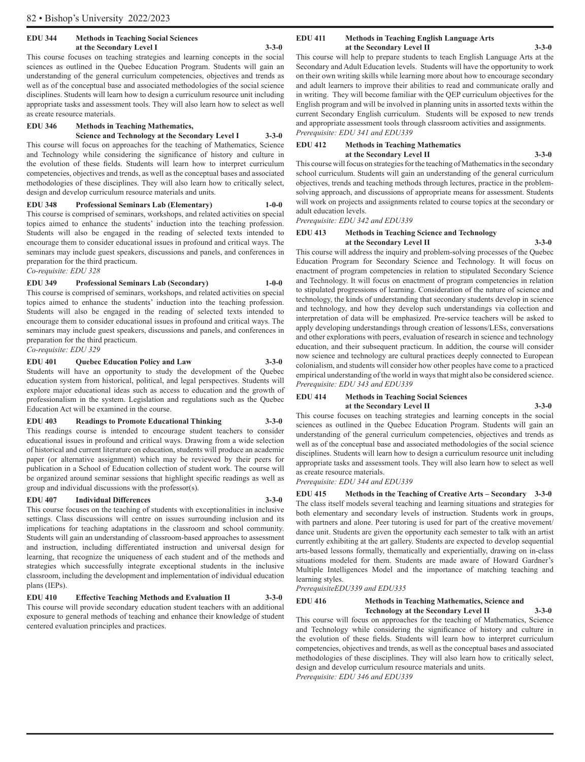#### **EDU 344 Methods in Teaching Social Sciences at the Secondary Level I 3-3-0**

This course focuses on teaching strategies and learning concepts in the social sciences as outlined in the Quebec Education Program. Students will gain an understanding of the general curriculum competencies, objectives and trends as well as of the conceptual base and associated methodologies of the social science disciplines. Students will learn how to design a curriculum resource unit including appropriate tasks and assessment tools. They will also learn how to select as well as create resource materials.

#### **EDU 346 Methods in Teaching Mathematics,**

**Science and Technology at the Secondary Level I 3-3-0** This course will focus on approaches for the teaching of Mathematics, Science and Technology while considering the significance of history and culture in the evolution of these fields. Students will learn how to interpret curriculum competencies, objectives and trends, as well as the conceptual bases and associated methodologies of these disciplines. They will also learn how to critically select, design and develop curriculum resource materials and units.

**EDU 348 Professional Seminars Lab (Elementary) 1-0-0** This course is comprised of seminars, workshops, and related activities on special topics aimed to enhance the students' induction into the teaching profession. Students will also be engaged in the reading of selected texts intended to encourage them to consider educational issues in profound and critical ways. The seminars may include guest speakers, discussions and panels, and conferences in preparation for the third practicum. *Co-requisite: EDU 328*

#### **EDU 349 Professional Seminars Lab (Secondary) 1-0-0**

This course is comprised of seminars, workshops, and related activities on special topics aimed to enhance the students' induction into the teaching profession. Students will also be engaged in the reading of selected texts intended to encourage them to consider educational issues in profound and critical ways. The seminars may include guest speakers, discussions and panels, and conferences in preparation for the third practicum.

*Co-requisite: EDU 329*

# **EDU 401 Quebec Education Policy and Law 3-3-0**

Students will have an opportunity to study the development of the Quebec education system from historical, political, and legal perspectives. Students will explore major educational ideas such as access to education and the growth of professionalism in the system. Legislation and regulations such as the Quebec Education Act will be examined in the course.

#### **EDU 403 Readings to Promote Educational Thinking 3-3-0**

This readings course is intended to encourage student teachers to consider educational issues in profound and critical ways. Drawing from a wide selection of historical and current literature on education, students will produce an academic paper (or alternative assignment) which may be reviewed by their peers for publication in a School of Education collection of student work. The course will be organized around seminar sessions that highlight specific readings as well as group and individual discussions with the professor(s).

#### **EDU 407 Individual Differences 3-3-0**

This course focuses on the teaching of students with exceptionalities in inclusive settings. Class discussions will centre on issues surrounding inclusion and its implications for teaching adaptations in the classroom and school community. Students will gain an understanding of classroom-based approaches to assessment and instruction, including differentiated instruction and universal design for learning, that recognize the uniqueness of each student and of the methods and strategies which successfully integrate exceptional students in the inclusive classroom, including the development and implementation of individual education plans (IEPs).

# **EDU 410 Effective Teaching Methods and Evaluation II 3-3-0**

This course will provide secondary education student teachers with an additional exposure to general methods of teaching and enhance their knowledge of student centered evaluation principles and practices.

#### **EDU 411 Methods in Teaching English Language Arts at the Secondary Level II 3-3-0**

This course will help to prepare students to teach English Language Arts at the Secondary and Adult Education levels. Students will have the opportunity to work on their own writing skills while learning more about how to encourage secondary and adult learners to improve their abilities to read and communicate orally and in writing. They will become familiar with the QEP curriculum objectives for the English program and will be involved in planning units in assorted texts within the current Secondary English curriculum. Students will be exposed to new trends and appropriate assessment tools through classroom activities and assignments. *Prerequisite: EDU 341 and EDU339*

#### **EDU 412 Methods in Teaching Mathematics at the Secondary Level II 3-3-0**

This course will focus on strategies for the teaching of Mathematics in the secondary school curriculum. Students will gain an understanding of the general curriculum objectives, trends and teaching methods through lectures, practice in the problemsolving approach, and discussions of appropriate means for assessment. Students will work on projects and assignments related to course topics at the secondary or adult education levels.

#### *Prerequisite: EDU 342 and EDU339*

#### **EDU 413 Methods in Teaching Science and Technology at the Secondary Level II 3-3-0**

This course will address the inquiry and problem-solving processes of the Quebec Education Program for Secondary Science and Technology. It will focus on enactment of program competencies in relation to stipulated Secondary Science and Technology. It will focus on enactment of program competencies in relation to stipulated progressions of learning. Consideration of the nature of science and technology, the kinds of understanding that secondary students develop in science and technology, and how they develop such understandings via collection and interpretation of data will be emphasized. Pre-service teachers will be asked to apply developing understandings through creation of lessons/LESs, conversations and other explorations with peers, evaluation of research in science and technology education, and their subsequent practicum. In addition, the course will consider now science and technology are cultural practices deeply connected to European colonialism, and students will consider how other peoples have come to a practiced empirical understanding of the world in ways that might also be considered science. *Prerequisite: EDU 343 and EDU339*

#### **EDU 414 Methods in Teaching Social Sciences at the Secondary Level II 3-3-0**

This course focuses on teaching strategies and learning concepts in the social sciences as outlined in the Quebec Education Program. Students will gain an understanding of the general curriculum competencies, objectives and trends as well as of the conceptual base and associated methodologies of the social science disciplines. Students will learn how to design a curriculum resource unit including appropriate tasks and assessment tools. They will also learn how to select as well as create resource materials.

*Prerequisite: EDU 344 and EDU339*

**EDU 415 Methods in the Teaching of Creative Arts – Secondary 3-3-0** The class itself models several teaching and learning situations and strategies for both elementary and secondary levels of instruction. Students work in groups, with partners and alone. Peer tutoring is used for part of the creative movement/ dance unit. Students are given the opportunity each semester to talk with an artist currently exhibiting at the art gallery. Students are expected to develop sequential arts-based lessons formally, thematically and experientially, drawing on in-class situations modeled for them. Students are made aware of Howard Gardner's Multiple Intelligences Model and the importance of matching teaching and learning styles.

*PrerequisiteEDU339 and EDU335*

**EDU 416 Methods in Teaching Mathematics, Science and Technology at the Secondary Level II 3-3-0**

This course will focus on approaches for the teaching of Mathematics, Science and Technology while considering the significance of history and culture in the evolution of these fields. Students will learn how to interpret curriculum competencies, objectives and trends, as well as the conceptual bases and associated methodologies of these disciplines. They will also learn how to critically select, design and develop curriculum resource materials and units.

*Prerequisite: EDU 346 and EDU339*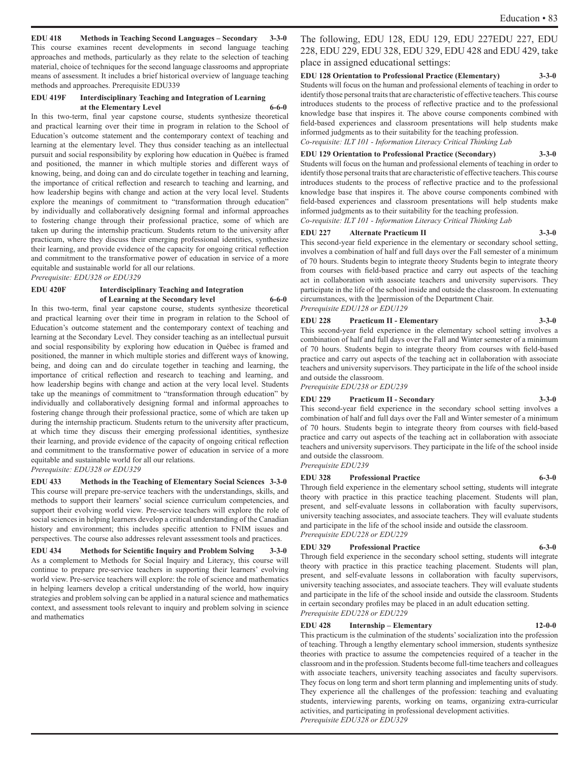**EDU 418 Methods in Teaching Second Languages – Secondary 3-3-0**

This course examines recent developments in second language teaching approaches and methods, particularly as they relate to the selection of teaching material, choice of techniques for the second language classrooms and appropriate means of assessment. It includes a brief historical overview of language teaching methods and approaches. Prerequisite EDU339

#### **EDU 419F Interdisciplinary Teaching and Integration of Learning at the Elementary Level 6-6-0**

In this two-term, final year capstone course, students synthesize theoretical and practical learning over their time in program in relation to the School of Education's outcome statement and the contemporary context of teaching and learning at the elementary level. They thus consider teaching as an intellectual pursuit and social responsibility by exploring how education in Québec is framed and positioned, the manner in which multiple stories and different ways of knowing, being, and doing can and do circulate together in teaching and learning, the importance of critical reflection and research to teaching and learning, and how leadership begins with change and action at the very local level. Students explore the meanings of commitment to "transformation through education" by individually and collaboratively designing formal and informal approaches to fostering change through their professional practice, some of which are taken up during the internship practicum. Students return to the university after practicum, where they discuss their emerging professional identities, synthesize their learning, and provide evidence of the capacity for ongoing critical reflection and commitment to the transformative power of education in service of a more equitable and sustainable world for all our relations.

*Prerequisite: EDU328 or EDU329*

#### **EDU 420F Interdisciplinary Teaching and Integration of Learning at the Secondary level 6-6-0**

In this two-term, final year capstone course, students synthesize theoretical and practical learning over their time in program in relation to the School of Education's outcome statement and the contemporary context of teaching and learning at the Secondary Level. They consider teaching as an intellectual pursuit and social responsibility by exploring how education in Québec is framed and positioned, the manner in which multiple stories and different ways of knowing, being, and doing can and do circulate together in teaching and learning, the importance of critical reflection and research to teaching and learning, and how leadership begins with change and action at the very local level. Students take up the meanings of commitment to "transformation through education" by individually and collaboratively designing formal and informal approaches to fostering change through their professional practice, some of which are taken up during the internship practicum. Students return to the university after practicum, at which time they discuss their emerging professional identities, synthesize their learning, and provide evidence of the capacity of ongoing critical reflection and commitment to the transformative power of education in service of a more equitable and sustainable world for all our relations. *Prerequisite: EDU328 or EDU329*

**EDU 433 Methods in the Teaching of Elementary Social Sciences 3-3-0** This course will prepare pre-service teachers with the understandings, skills, and methods to support their learners' social science curriculum competencies, and support their evolving world view. Pre-service teachers will explore the role of social sciences in helping learners develop a critical understanding of the Canadian history and environment; this includes specific attention to FNIM issues and perspectives. The course also addresses relevant assessment tools and practices.

**EDU 434 Methods for Scientific Inquiry and Problem Solving 3-3-0** As a complement to Methods for Social Inquiry and Literacy, this course will continue to prepare pre-service teachers in supporting their learners' evolving world view. Pre-service teachers will explore: the role of science and mathematics in helping learners develop a critical understanding of the world, how inquiry strategies and problem solving can be applied in a natural science and mathematics context, and assessment tools relevant to inquiry and problem solving in science and mathematics

The following, EDU 128, EDU 129, EDU 227EDU 227, EDU 228, EDU 229, EDU 328, EDU 329, EDU 428 and EDU 429, take place in assigned educational settings:

#### **EDU 128 Orientation to Professional Practice (Elementary) 3-3-0**

Students will focus on the human and professional elements of teaching in order to identify those personal traits that are characteristic of effective teachers. This course introduces students to the process of reflective practice and to the professional knowledge base that inspires it. The above course components combined with field-based experiences and classroom presentations will help students make informed judgments as to their suitability for the teaching profession. *Co-requisite: ILT 101 - Information Literacy Critical Thinking Lab*

#### **EDU 129 Orientation to Professional Practice (Secondary) 3-3-0**

Students will focus on the human and professional elements of teaching in order to identify those personal traits that are characteristic of effective teachers. This course introduces students to the process of reflective practice and to the professional knowledge base that inspires it. The above course components combined with field-based experiences and classroom presentations will help students make informed judgments as to their suitability for the teaching profession. *Co-requisite: ILT 101 - Information Literacy Critical Thinking Lab*

#### **EDU 227 Alternate Practicum II 3-3-0**

This second-year field experience in the elementary or secondary school setting, involves a combination of half and full days over the Fall semester of a minimum of 70 hours. Students begin to integrate theory Students begin to integrate theory from courses with field-based practice and carry out aspects of the teaching act in collaboration with associate teachers and university supervisors. They participate in the life of the school inside and outside the classroom. In extenuating circumstances, with the ]permission of the Department Chair. *Prerequisite EDU128 or EDU129*

#### **EDU 228 Practicum II - Elementary 3-3-0**

This second-year field experience in the elementary school setting involves a combination of half and full days over the Fall and Winter semester of a minimum of 70 hours. Students begin to integrate theory from courses with field-based practice and carry out aspects of the teaching act in collaboration with associate teachers and university supervisors. They participate in the life of the school inside and outside the classroom.

*Prerequisite EDU238 or EDU239*

#### **EDU 229 Practicum II - Secondary 3-3-0**

This second-year field experience in the secondary school setting involves a combination of half and full days over the Fall and Winter semester of a minimum of 70 hours. Students begin to integrate theory from courses with field-based practice and carry out aspects of the teaching act in collaboration with associate teachers and university supervisors. They participate in the life of the school inside and outside the classroom.

*Prerequisite EDU239*

#### **EDU 328 Professional Practice 6-3-0**

Through field experience in the elementary school setting, students will integrate theory with practice in this practice teaching placement. Students will plan, present, and self-evaluate lessons in collaboration with faculty supervisors, university teaching associates, and associate teachers. They will evaluate students and participate in the life of the school inside and outside the classroom. *Prerequisite EDU228 or EDU229*

#### **EDU 329 Professional Practice 6-3-0**

Through field experience in the secondary school setting, students will integrate theory with practice in this practice teaching placement. Students will plan, present, and self-evaluate lessons in collaboration with faculty supervisors, university teaching associates, and associate teachers. They will evaluate students and participate in the life of the school inside and outside the classroom. Students in certain secondary profiles may be placed in an adult education setting. *Prerequisite EDU228 or EDU229*

#### **EDU 428 Internship – Elementary 12-0-0**

This practicum is the culmination of the students' socialization into the profession of teaching. Through a lengthy elementary school immersion, students synthesize theories with practice to assume the competencies required of a teacher in the classroom and in the profession. Students become full-time teachers and colleagues with associate teachers, university teaching associates and faculty supervisors. They focus on long term and short term planning and implementing units of study. They experience all the challenges of the profession: teaching and evaluating students, interviewing parents, working on teams, organizing extra-curricular activities, and participating in professional development activities. *Prerequisite EDU328 or EDU329*